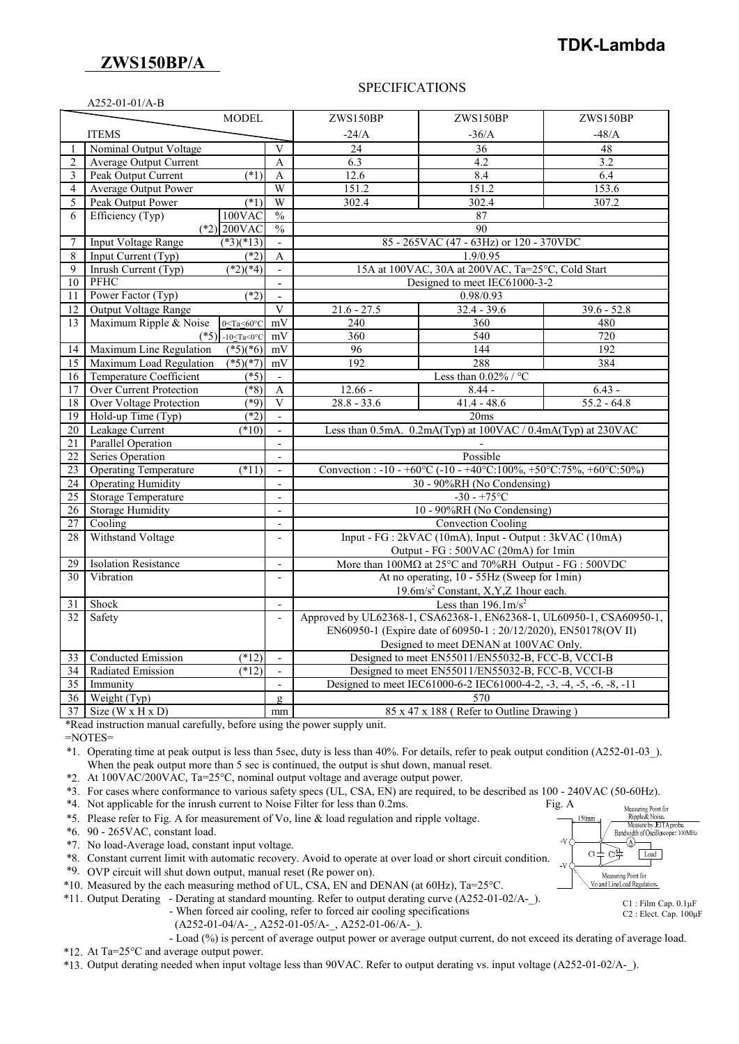# **ZWS150BP/A**

# **TDK-Lambda**

## SPECIFICATIONS

| A252-01-01/A-B  |                                                           |                                                                           |                                                                                                             |                                                                      |               |
|-----------------|-----------------------------------------------------------|---------------------------------------------------------------------------|-------------------------------------------------------------------------------------------------------------|----------------------------------------------------------------------|---------------|
|                 | MODEL                                                     |                                                                           | ZWS150BP                                                                                                    | ZWS150BP                                                             | ZWS150BP      |
|                 | <b>ITEMS</b>                                              |                                                                           | $-24/A$                                                                                                     | $-36/A$                                                              | $-48/A$       |
|                 | Nominal Output Voltage                                    | V                                                                         | 24                                                                                                          | 36                                                                   | 48            |
| $\overline{2}$  | <b>Average Output Current</b>                             | $\mathsf{A}$                                                              | 6.3                                                                                                         | 4.2                                                                  | 3.2           |
| 3               | Peak Output Current<br>$(*1)$                             | $\mathbf{A}$                                                              | 12.6                                                                                                        | 8.4                                                                  | 6.4           |
| 4               | <b>Average Output Power</b>                               | W                                                                         | 151.2                                                                                                       | 151.2                                                                | 153.6         |
| 5               | Peak Output Power<br>$(\ast 1)$                           | W                                                                         | 302.4                                                                                                       | 302.4                                                                | 307.2         |
| 6               | 100VAC<br>Efficiency (Typ)                                | $\frac{0}{0}$                                                             |                                                                                                             | 87                                                                   |               |
|                 | $(*2)$ 200VAC                                             | $\frac{0}{0}$                                                             |                                                                                                             | 90                                                                   |               |
| 7               | <b>Input Voltage Range</b><br>$(*3)(*13)$                 |                                                                           |                                                                                                             | 85 - 265VAC (47 - 63Hz) or 120 - 370VDC                              |               |
| 8               | $(*2)$<br>Input Current $(\overline{Typ})$                | A                                                                         |                                                                                                             | 1.9/0.95                                                             |               |
| 9               | $\sqrt{(2)(4)}$<br>Inrush Current (Typ)                   |                                                                           |                                                                                                             | 15A at 100VAC, 30A at 200VAC, Ta=25°C, Cold Start                    |               |
| 10              | <b>PFHC</b>                                               | $\blacksquare$                                                            |                                                                                                             | Designed to meet IEC61000-3-2                                        |               |
| 11              | Power Factor (Typ)<br>$(*2)$                              | $\overline{a}$                                                            |                                                                                                             | 0.98/0.93                                                            |               |
| 12              | <b>Output Voltage Range</b>                               | $\overline{V}$                                                            | $21.6 - 27.5$                                                                                               | $32.4 - 39.6$                                                        | $39.6 - 52.8$ |
| 13              | Maximum Ripple & Noise<br>$0 \leq Ta \leq 60^{\circ}C$    | mV                                                                        | 240                                                                                                         | 360                                                                  | 480           |
|                 | (*5) $-10 \leq Ta \leq 0^{\circ}C$                        | mV                                                                        | 360                                                                                                         | 540                                                                  | 720           |
| 14              | Maximum Line Regulation<br>$(*5)(*6)$                     | mV                                                                        | 96                                                                                                          | 144                                                                  | 192           |
| 15              | $(*5)(*7)$<br>Maximum Load Regulation                     | mV                                                                        | 192                                                                                                         | 288                                                                  | 384           |
| 16              | Temperature Coefficient<br>$(*5)$                         | $\overline{\phantom{a}}$                                                  | Less than $0.02\%$ / °C                                                                                     |                                                                      |               |
| 17              | Over Current Protection<br>$(\sqrt[*]{8})$                | A                                                                         | $12.66 -$                                                                                                   | $8.44 -$                                                             | $6.43 -$      |
| 18              | <b>Over Voltage Protection</b><br>$(*9)$                  | $\mathbf{V}$                                                              | $28.8 - 33.6$                                                                                               | $41.4 - 48.6$                                                        | $55.2 - 64.8$ |
| 19              | $(*2)$<br>Hold-up Time (Typ)                              | $\mathbf{r}$                                                              |                                                                                                             | 20ms                                                                 |               |
| 20              | Leakage Current<br>(10)                                   | $\overline{\phantom{a}}$                                                  |                                                                                                             | Less than 0.5mA. 0.2mA(Typ) at 100VAC / 0.4mA(Typ) at 230VAC         |               |
| 21              | <b>Parallel Operation</b>                                 |                                                                           |                                                                                                             |                                                                      |               |
| 22              | Series Operation<br>$\blacksquare$                        |                                                                           | Possible                                                                                                    |                                                                      |               |
| 23              | <b>Operating Temperature</b><br>$(*11)$<br>$\blacksquare$ |                                                                           | Convection: $-10 - +60\degree$ C $(-10 - +40\degree$ C: $100\% + 50\degree$ C: $75\% + 60\degree$ C: $50\%$ |                                                                      |               |
| 24              | <b>Operating Humidity</b>                                 | $\sim$                                                                    | 30 - 90%RH (No Condensing)                                                                                  |                                                                      |               |
| 25              | <b>Storage Temperature</b>                                | $\overline{\phantom{a}}$                                                  | $-30 - +75$ °C                                                                                              |                                                                      |               |
| 26              | <b>Storage Humidity</b>                                   |                                                                           | 10 - 90%RH (No Condensing)                                                                                  |                                                                      |               |
| 27              | Cooling                                                   | $\blacksquare$                                                            | <b>Convection Cooling</b>                                                                                   |                                                                      |               |
| 28              | Withstand Voltage                                         | $\frac{1}{2}$                                                             |                                                                                                             | Input - FG : 2kVAC (10mA), Input - Output : 3kVAC (10mA)             |               |
|                 |                                                           |                                                                           |                                                                                                             | Output - FG : 500VAC (20mA) for 1min                                 |               |
| 29              | <b>Isolation Resistance</b>                               | $\overline{a}$                                                            | More than $100\overline{\mathrm{MQ}}$ at $25^{\circ}\mathrm{C}$ and $70\%$ RH Output - FG : 500VDC          |                                                                      |               |
| 30              | Vibration                                                 | $\overline{a}$                                                            |                                                                                                             | At no operating, 10 - 55Hz (Sweep for 1min)                          |               |
|                 |                                                           |                                                                           |                                                                                                             | 19.6m/s <sup>2</sup> Constant, X,Y,Z 1hour each.                     |               |
| 31              | Shock                                                     | Less than $196.1 \text{m/s}^2$<br>$\overline{a}$                          |                                                                                                             |                                                                      |               |
| 32              | Safety                                                    | $\blacksquare$                                                            |                                                                                                             | Approved by UL62368-1, CSA62368-1, EN62368-1, UL60950-1, CSA60950-1, |               |
|                 |                                                           |                                                                           |                                                                                                             | EN60950-1 (Expire date of 60950-1: 20/12/2020), EN50178(OV II)       |               |
|                 |                                                           | Designed to meet DENAN at 100VAC Only.                                    |                                                                                                             |                                                                      |               |
| 33              | <b>Conducted Emission</b>                                 | (12)<br>Designed to meet EN55011/EN55032-B, FCC-B, VCCI-B<br>$\mathbf{r}$ |                                                                                                             |                                                                      |               |
| 34              | Radiated Emission<br>$(*12)$                              | $\overline{\phantom{a}}$                                                  |                                                                                                             | Designed to meet EN55011/EN55032-B, FCC-B, VCCI-B                    |               |
| 35              | Immunity                                                  |                                                                           |                                                                                                             | Designed to meet IEC61000-6-2 IEC61000-4-2, -3, -4, -5, -6, -8, -11  |               |
| 36              | Weight (Typ)                                              | $\mathbf{Q}$                                                              |                                                                                                             | 570                                                                  |               |
| $\overline{37}$ | Size (W x H x D)                                          | mm                                                                        | 85 x 47 x 188 (Refer to Outline Drawing)                                                                    |                                                                      |               |

\*Read instruction manual carefully, before using the power supply unit.

=NOTES=

\*1. Operating time at peak output is less than 5sec, duty is less than 40%. For details, refer to peak output condition (A252-01-03\_). When the peak output more than 5 sec is continued, the output is shut down, manual reset.

\*2. At 100VAC/200VAC, Ta=25°C, nominal output voltage and average output power.

\*3. For cases where conformance to various safety specs (UL, CSA, EN) are required, to be described as 100 - 240VAC (50-60Hz).

\*4. Not applicable for the inrush current to Noise Filter for less than 0.2ms. Fig. A

\*5. Please refer to Fig. A for measurement of Vo, line & load regulation and ripple voltage.

\*6. 90 - 265VAC, constant load.

- \*7. No load-Average load, constant input voltage.
- \*8. Constant current limit with automatic recovery. Avoid to operate at over load or short circuit condition.

\*9. OVP circuit will shut down output, manual reset (Re power on).

\*10. Measured by the each measuring method of UL, CSA, EN and DENAN (at 60Hz), Ta=25°C.

\*11. Output Derating - Derating at standard mounting. Refer to output derating curve (A252-01-02/A-\_). - When forced air cooling, refer to forced air cooling specifications

(A252-01-04/A-\_, A252-01-05/A-\_, A252-01-06/A-\_).

- Load (%) is percent of average output power or average output current, do not exceed its derating of average load.

\*12. At Ta=25°C and average output power.

\*13. Output derating needed when input voltage less than 90VAC. Refer to output derating vs. input voltage (A252-01-02/A-\_).

Measuring Point for Ripple & Noise 150mm Measure by JEITA probe Bandwidth of Oscilloscope: 100MHz a  $C\overline{\mathbb{Z}}$  $\overline{C}$ Load  $\overline{M}$ Measuring Point for Vo and LineLoad Regulation.

> C1 : Film Cap. 0.1μF C2 : Elect. Cap. 100μF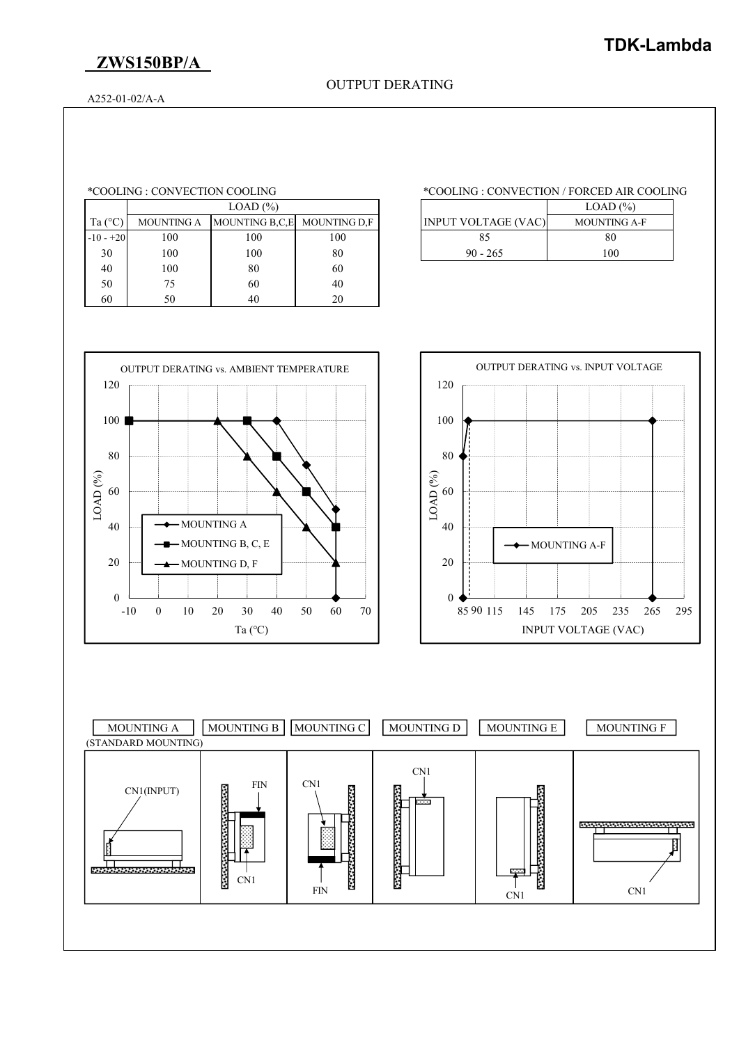# **ZWS150BP/A**

## OUTPUT DERATING

A252-01-02/A-A

|                  | LOAD (%)          |                             |     |                            | LOAD (%)            |
|------------------|-------------------|-----------------------------|-----|----------------------------|---------------------|
| Ta $(^{\circ}C)$ | <b>MOUNTING A</b> | MOUNTING B,C,E MOUNTING D,F |     | <b>INPUT VOLTAGE (VAC)</b> | <b>MOUNTING A-F</b> |
| $-10 - +20$      | 100               | 100                         | 100 | 85                         |                     |
| 30               | 100               | 100                         | 80  | $90 - 265$                 |                     |
| 40               | 100               | 80                          | 60  |                            |                     |
| 50               | 75                | 60                          | 40  |                            |                     |
| 60               | 50                | 40                          | 20  |                            |                     |

### \*COOLING : CONVECTION COOLING \*COOLING : CONVECTION / FORCED AIR COOLING

| LOAD (%) |                           |                            | LOAD(%)             |
|----------|---------------------------|----------------------------|---------------------|
|          | UNTING B.C.E MOUNTING D.F | <b>INPUT VOLTAGE (VAC)</b> | <b>MOUNTING A-F</b> |
| 00       | 100                       |                            | 80                  |
| 00       | 80                        | $90 - 265$                 | 100                 |





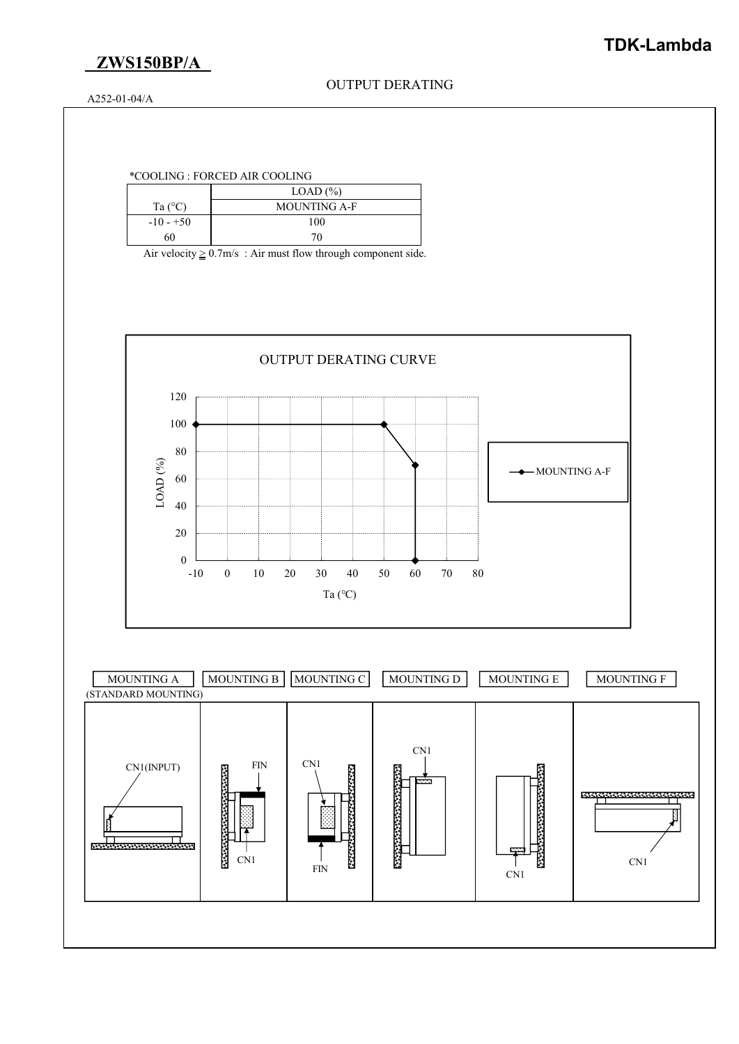

OUTPUT DERATING

A252-01-04/A

## \*COOLING : FORCED AIR COOLING

|                  | LOAD $(\%)$         |  |  |
|------------------|---------------------|--|--|
| Ta $(^{\circ}C)$ | <b>MOUNTING A-F</b> |  |  |
| $-10 - +50$      | 100                 |  |  |
| 60               | 70                  |  |  |

Air velocity  $\geq 0.7$ m/s : Air must flow through component side.

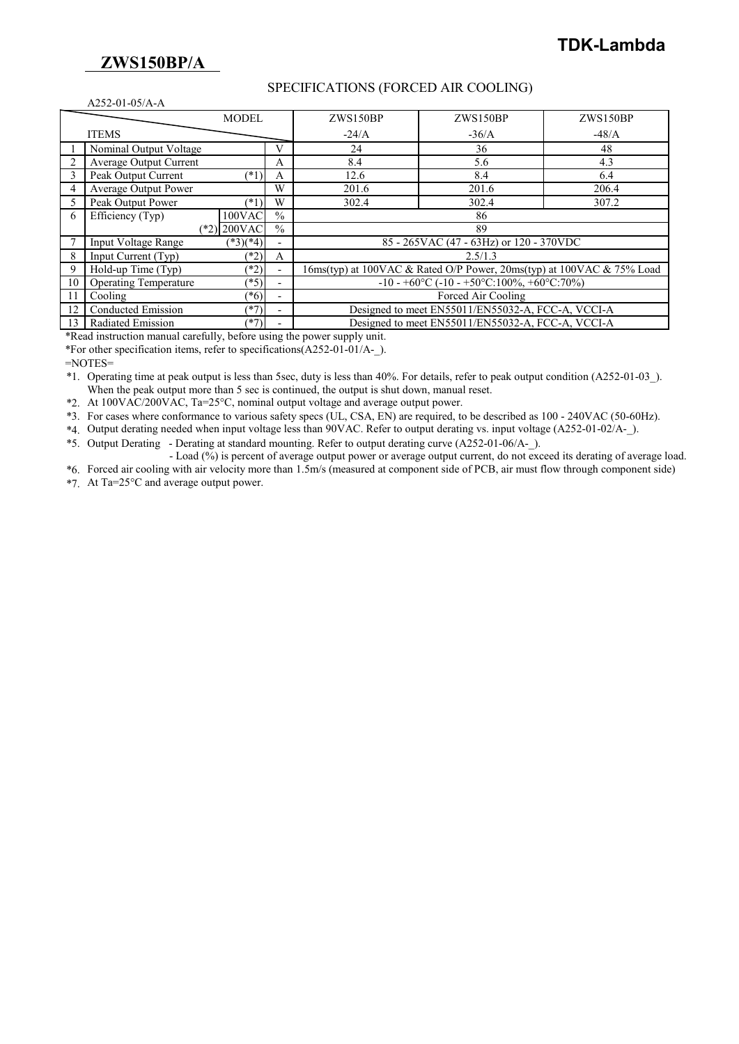# **ZWS150BP/A**

## SPECIFICATIONS (FORCED AIR COOLING)

|    | $A252-01-05/A-A$                                                                                      |                 |                          |                                                   |                                                                         |          |
|----|-------------------------------------------------------------------------------------------------------|-----------------|--------------------------|---------------------------------------------------|-------------------------------------------------------------------------|----------|
|    |                                                                                                       | <b>MODEL</b>    |                          | ZWS150BP                                          | ZWS150BP                                                                | ZWS150BP |
|    | <b>ITEMS</b>                                                                                          |                 |                          | $-24/A$                                           | $-36/A$                                                                 | $-48/A$  |
|    | Nominal Output Voltage                                                                                |                 | V                        | 24                                                | 36                                                                      | 48       |
|    | Average Output Current                                                                                |                 | A                        | 8.4                                               | 5.6                                                                     | 4.3      |
|    | Peak Output Current                                                                                   | $(*1)$          | A                        | 12.6                                              | 8.4                                                                     | 6.4      |
|    | <b>Average Output Power</b>                                                                           |                 | W                        | 201.6                                             | 201.6                                                                   | 206.4    |
|    | Peak Output Power                                                                                     | (1)             | W                        | 302.4                                             | 302.4                                                                   | 307.2    |
| 6  | $\overline{Efficiency(Typ)}$                                                                          | $100$ VAC       | $\frac{0}{0}$            |                                                   | 86                                                                      |          |
|    |                                                                                                       | $(*2)$   200VAC | $\frac{0}{0}$            |                                                   | 89                                                                      |          |
|    | Input Voltage Range                                                                                   | $(*3)(*4)$      |                          |                                                   | 85 - 265 VAC (47 - 63 Hz) or 120 - 370 VDC                              |          |
| 8  | Input Current (Typ)                                                                                   | $(*2)$          | A                        |                                                   | 2.5/1.3                                                                 |          |
| 9  | Hold-up Time (Typ)<br>$(*2)$<br>16ms(typ) at 100VAC & Rated O/P Power, 20ms(typ) at 100VAC & 75% Load |                 |                          |                                                   |                                                                         |          |
| 10 | <b>Operating Temperature</b>                                                                          | $(*5)$          | $\overline{\phantom{0}}$ |                                                   | $-10 - +60\degree C$ ( $-10 - +50\degree C$ :100%, $+60\degree C$ :70%) |          |
| 11 | Cooling                                                                                               | $(*6)$          | $\overline{\phantom{0}}$ | Forced Air Cooling                                |                                                                         |          |
| 12 | Conducted Emission                                                                                    | $(*7)$          |                          |                                                   | Designed to meet EN55011/EN55032-A, FCC-A, VCCI-A                       |          |
| 13 | Radiated Emission<br>$(*7)$                                                                           |                 |                          | Designed to meet EN55011/EN55032-A, FCC-A, VCCI-A |                                                                         |          |

\*Read instruction manual carefully, before using the power supply unit.

\*For other specification items, refer to specifications(A252-01-01/A-\_).

 $=$ NOTES $=$ 

\*1. Operating time at peak output is less than 5sec, duty is less than 40%. For details, refer to peak output condition (A252-01-03\_). When the peak output more than 5 sec is continued, the output is shut down, manual reset.

\*2. At 100VAC/200VAC, Ta=25°C, nominal output voltage and average output power.

\*3. For cases where conformance to various safety specs (UL, CSA, EN) are required, to be described as 100 - 240VAC (50-60Hz).

\*4. Output derating needed when input voltage less than 90VAC. Refer to output derating vs. input voltage (A252-01-02/A-\_).

\*5. Output Derating - Derating at standard mounting. Refer to output derating curve (A252-01-06/A-\_).

- Load (%) is percent of average output power or average output current, do not exceed its derating of average load.

\*6. Forced air cooling with air velocity more than 1.5m/s (measured at component side of PCB, air must flow through component side) \*7. At Ta=25°C and average output power.